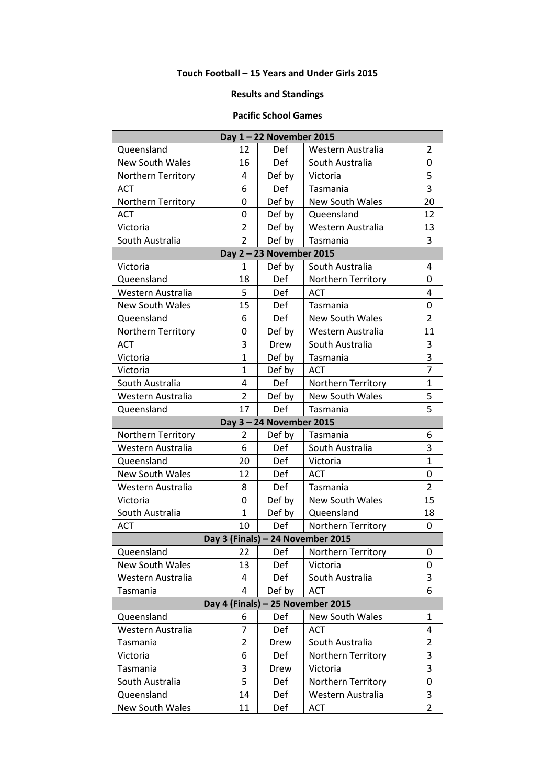## **Touch Football – 15 Years and Under Girls 2015**

## **Results and Standings**

## **Pacific School Games**

| Day 1-22 November 2015            |                |            |                        |                |  |  |  |
|-----------------------------------|----------------|------------|------------------------|----------------|--|--|--|
| Queensland                        | 12             | Def        | Western Australia      | 2              |  |  |  |
| <b>New South Wales</b>            | 16             | Def        | South Australia        | 0              |  |  |  |
| <b>Northern Territory</b>         | 4              | Def by     | Victoria               | 5              |  |  |  |
| <b>ACT</b>                        | 6              | Def        | Tasmania               | 3              |  |  |  |
| Northern Territory                | 0              | Def by     | <b>New South Wales</b> | 20             |  |  |  |
| <b>ACT</b>                        | 0              | Def by     | Queensland             | 12             |  |  |  |
| Victoria                          | $\overline{2}$ | Def by     | Western Australia      | 13             |  |  |  |
| South Australia                   | $\overline{2}$ | Def by     | Tasmania               | 3              |  |  |  |
| Day 2 - 23 November 2015          |                |            |                        |                |  |  |  |
| Victoria                          | 1              | Def by     | South Australia        | 4              |  |  |  |
| Queensland                        | 18             | Def        | Northern Territory     | 0              |  |  |  |
| Western Australia                 | 5              | Def        | <b>ACT</b>             | 4              |  |  |  |
| <b>New South Wales</b>            | 15             | <b>Def</b> | Tasmania               | 0              |  |  |  |
| Queensland                        | 6              | Def        | <b>New South Wales</b> | $\overline{2}$ |  |  |  |
| Northern Territory                | 0              | Def by     | Western Australia      | 11             |  |  |  |
| <b>ACT</b>                        | 3              | Drew       | South Australia        | 3              |  |  |  |
| Victoria                          | 1              | Def by     | Tasmania               | 3              |  |  |  |
| Victoria                          | 1              | Def by     | <b>ACT</b>             | 7              |  |  |  |
| South Australia                   | 4              | Def        | Northern Territory     | $\mathbf{1}$   |  |  |  |
| Western Australia                 | $\overline{2}$ | Def by     | <b>New South Wales</b> | 5              |  |  |  |
| Queensland                        | 17             | Def        | Tasmania               | 5              |  |  |  |
| Day 3 - 24 November 2015          |                |            |                        |                |  |  |  |
| Northern Territory                | $\overline{2}$ | Def by     | Tasmania               | 6              |  |  |  |
| Western Australia                 | 6              | Def        | South Australia        | 3              |  |  |  |
| Queensland                        | 20             | Def        | Victoria               | $\mathbf{1}$   |  |  |  |
| <b>New South Wales</b>            | 12             | <b>Def</b> | <b>ACT</b>             | 0              |  |  |  |
| Western Australia                 | 8              | Def        | Tasmania               | $\overline{2}$ |  |  |  |
| Victoria                          | 0              | Def by     | <b>New South Wales</b> | 15             |  |  |  |
| South Australia                   | 1              | Def by     | Queensland             | 18             |  |  |  |
| <b>ACT</b>                        | 10             | Def        | Northern Territory     | 0              |  |  |  |
| Day 3 (Finals) - 24 November 2015 |                |            |                        |                |  |  |  |
| Queensland                        | 22             | Def        | Northern Territory     | 0              |  |  |  |
| New South Wales                   | 13             | Def        | Victoria               | 0              |  |  |  |
| Western Australia                 | 4              | Def        | South Australia        | 3              |  |  |  |
| Tasmania                          | 4              | Def by     | <b>ACT</b>             | 6              |  |  |  |
| Day 4 (Finals) - 25 November 2015 |                |            |                        |                |  |  |  |
| Queensland                        | 6              | Def        | New South Wales        | 1              |  |  |  |
| Western Australia                 | 7              | Def        | <b>ACT</b>             | 4              |  |  |  |
| Tasmania                          | $\overline{2}$ | Drew       | South Australia        | 2              |  |  |  |
| Victoria                          | 6              | Def        | Northern Territory     | 3              |  |  |  |
| Tasmania                          | 3              | Drew       | Victoria               | 3              |  |  |  |
| South Australia                   | 5              | Def        | Northern Territory     | 0              |  |  |  |
| Queensland                        | 14             | Def        | Western Australia      | 3              |  |  |  |
| <b>New South Wales</b>            | 11             | Def        | ACT                    | 2              |  |  |  |